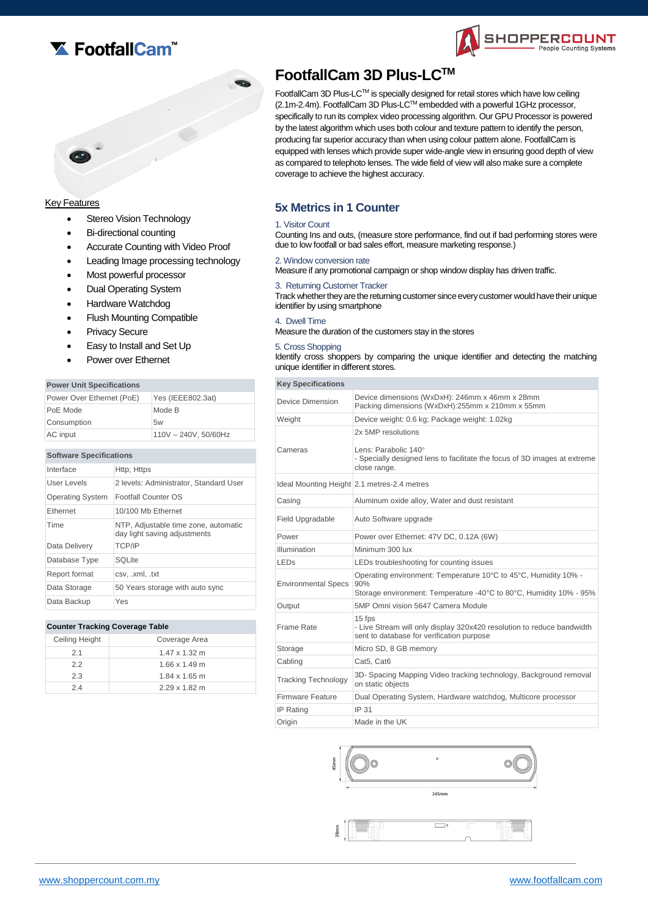



# **Key Features**

- Stereo Vision Technology
- Bi-directional counting
- Accurate Counting with Video Proof
- Leading Image processing technology
- Most powerful processor
- Dual Operating System
- Hardware Watchdog
- Flush Mounting Compatible
- Privacy Secure
- Easy to Install and Set Up
- Power over Ethernet

#### **Power Unit Specifications**

| Power Over Ethernet (PoE) | Yes (IEEE802.3at)    |
|---------------------------|----------------------|
| PoE Mode                  | Mode B               |
| Consumption               | 5w                   |
| AC input                  | 110V - 240V, 50/60Hz |

#### **Software Specifications**

| Interface               | Http: Https                                                          |
|-------------------------|----------------------------------------------------------------------|
| User Levels             | 2 levels: Administrator, Standard User                               |
| <b>Operating System</b> | Footfall Counter OS                                                  |
| Ethernet                | 10/100 Mb Ethernet                                                   |
| Time                    | NTP, Adjustable time zone, automatic<br>day light saving adjustments |
| Data Delivery           | <b>TCP/IP</b>                                                        |
| Database Type           | SOLite                                                               |
| Report format           | csv, .xml, .txt                                                      |
| Data Storage            | 50 Years storage with auto sync                                      |
| Data Backup             | Yes                                                                  |

#### **Counter Tracking Coverage Table**

| Ceiling Height | Coverage Area        |
|----------------|----------------------|
| 21             | $1.47 \times 1.32$ m |
| 22             | $1.66 \times 1.49$ m |
| 2.3            | $1.84 \times 1.65$ m |
| 24             | $2.29 \times 1.82$ m |

# **FootfallCam 3D Plus-LCTM**

FootfallCam 3D Plus-LCTM is specially designed for retail stores which have low ceiling (2.1m-2.4m). FootfallCam 3D Plus-LCTM embedded with a powerful 1GHz processor, specifically to run its complex video processing algorithm. Our GPU Processor is powered by the latest algorithm which uses both colour and texture pattern to identify the person, producing far superior accuracy than when using colour pattern alone. FootfallCam is equipped with lenses which provide super wide-angle view in ensuring good depth of view as compared to telephoto lenses. The wide field of view will also make sure a complete coverage to achieve the highest accuracy.

SHOPPERCOUNT

le Counting Systems

# **5x Metrics in 1 Counter**

#### 1. Visitor Count

Counting Ins and outs, (measure store performance, find out if bad performing stores were due to low footfall or bad sales effort, measure marketing response.)

#### 2. Window conversion rate

Measure if any promotional campaign or shop window display has driven traffic.

3. Returning Customer Tracker

Track whether they are the returning customer since every customer would have their unique identifier by using smartphone

#### 4. Dwell Time

Measure the duration of the customers stay in the stores

#### 5. Cross Shopping

Identify cross shoppers by comparing the unique identifier and detecting the matching unique identifier in different stores.

| <b>Key Specifications</b>  |                                                                                                                                              |
|----------------------------|----------------------------------------------------------------------------------------------------------------------------------------------|
| Device Dimension           | Device dimensions (WxDxH): 246mm x 46mm x 28mm<br>Packing dimensions (WxDxH):255mm x 210mm x 55mm                                            |
| Weight                     | Device weight: 0.6 kg; Package weight: 1.02kg                                                                                                |
| Cameras                    | 2x 5MP resolutions<br>Lens: Parabolic 140°<br>- Specially designed lens to facilitate the focus of 3D images at extreme<br>close range.      |
|                            | Ideal Mounting Height 2.1 metres-2.4 metres                                                                                                  |
| Casing                     | Aluminum oxide alloy, Water and dust resistant                                                                                               |
| Field Upgradable           | Auto Software upgrade                                                                                                                        |
| Power                      | Power over Ethernet: 47V DC, 0.12A (6W)                                                                                                      |
| Illumination               | Minimum 300 lux                                                                                                                              |
| <b>LED<sub>S</sub></b>     | LEDs troubleshooting for counting issues                                                                                                     |
| <b>Environmental Specs</b> | Operating environment: Temperature 10°C to 45°C, Humidity 10% -<br>90%<br>Storage environment: Temperature -40°C to 80°C, Humidity 10% - 95% |
| Output                     | 5MP Omni vision 5647 Camera Module                                                                                                           |
| Frame Rate                 | 15 fps<br>- Live Stream will only display 320x420 resolution to reduce bandwidth<br>sent to database for verification purpose                |
| Storage                    | Micro SD, 8 GB memory                                                                                                                        |
| Cabling                    | Cat5. Cat6                                                                                                                                   |
| <b>Tracking Technology</b> | 3D- Spacing Mapping Video tracking technology, Background removal<br>on static objects                                                       |
| <b>Firmware Feature</b>    | Dual Operating System, Hardware watchdog, Multicore processor                                                                                |
| IP Rating                  | IP 31                                                                                                                                        |
| Origin                     | Made in the UK                                                                                                                               |



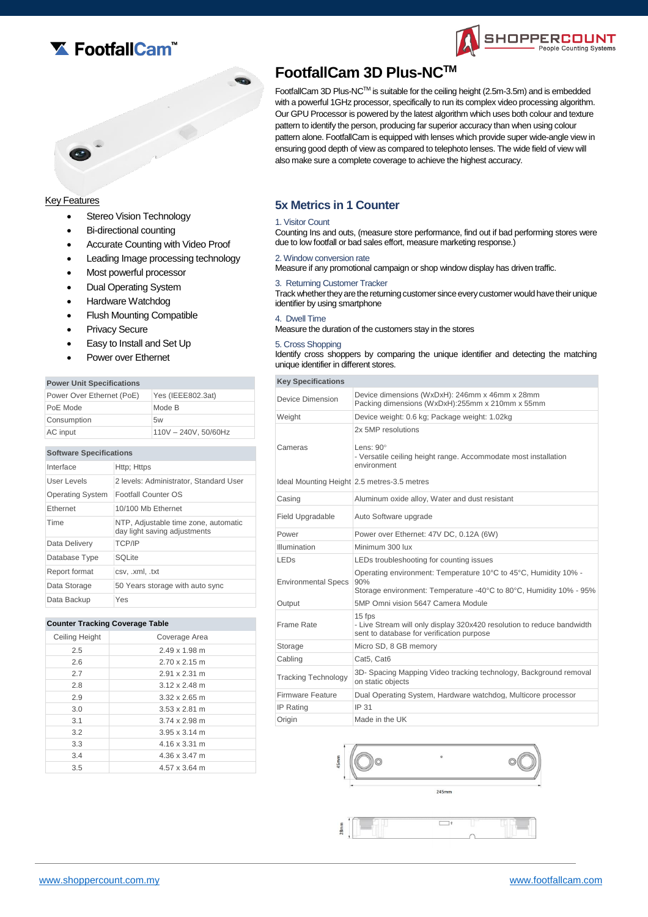



# Key Features

- Stereo Vision Technology
- Bi-directional counting
- Accurate Counting with Video Proof
- Leading Image processing technology
- Most powerful processor
- Dual Operating System
- Hardware Watchdog
- Flush Mounting Compatible
- Privacy Secure
- Easy to Install and Set Up
- Power over Ethernet

### **Power Unit Specifications**

| Power Over Ethernet (PoE) | Yes (IEEE802.3at)    |
|---------------------------|----------------------|
| PoE Mode                  | Mode B               |
| Consumption               | 5w                   |
| AC input                  | 110V - 240V, 50/60Hz |

#### **Software Specifications**

| Interface               | Http; Https                                                          |
|-------------------------|----------------------------------------------------------------------|
| User Levels             | 2 levels: Administrator, Standard User                               |
| <b>Operating System</b> | Footfall Counter OS                                                  |
| <b>Fthernet</b>         | 10/100 Mb Ethernet                                                   |
| Time                    | NTP, Adjustable time zone, automatic<br>day light saving adjustments |
| Data Delivery           | <b>TCP/IP</b>                                                        |
| Database Type           | SOLite                                                               |
| Report format           | csv, .xml, .txt                                                      |
| Data Storage            | 50 Years storage with auto sync                                      |
| Data Backup             | Yes                                                                  |

#### **Counter Tracking Coverage Table**

| Ceiling Height<br>Coverage Area<br>2.5<br>$2.49 \times 1.98$ m<br>2.6<br>$2.70 \times 2.15$ m<br>2.7<br>2.91 x 2.31 m |
|-----------------------------------------------------------------------------------------------------------------------|
|                                                                                                                       |
|                                                                                                                       |
|                                                                                                                       |
|                                                                                                                       |
| 2.8<br>$3.12 \times 2.48$ m                                                                                           |
| 2.9<br>$3.32 \times 2.65$ m                                                                                           |
| 3.0<br>$3.53 \times 2.81$ m                                                                                           |
| 3.1<br>$3.74 \times 2.98$ m                                                                                           |
| 3.2<br>$3.95 \times 3.14$ m                                                                                           |
| 3.3<br>4.16 x 3.31 m                                                                                                  |
| 3.4<br>4.36 x 3.47 m                                                                                                  |
| 3.5<br>4.57 x 3.64 m                                                                                                  |

# **FootfallCam 3D Plus-NCTM**

FootfallCam 3D Plus-NCTM is suitable for the ceiling height (2.5m-3.5m) and is embedded with a powerful 1GHz processor, specifically to run its complex video processing algorithm. Our GPU Processor is powered by the latest algorithm which uses both colour and texture pattern to identify the person, producing far superior accuracy than when using colour pattern alone. FootfallCam is equipped with lenses which provide super wide-angle view in ensuring good depth of view as compared to telephoto lenses. The wide field of view will also make sure a complete coverage to achieve the highest accuracy.

SHOPPERCOUNT

Counting Systems

# **5x Metrics in 1 Counter**

## 1. Visitor Count

Counting Ins and outs, (measure store performance, find out if bad performing stores were due to low footfall or bad sales effort, measure marketing response.)

#### 2. Window conversion rate

Measure if any promotional campaign or shop window display has driven traffic.

3. Returning Customer Tracker

Track whether they are the returning customer since every customer would have their unique identifier by using smartphone

#### 4. Dwell Time

Measure the duration of the customers stay in the stores

#### 5. Cross Shopping

Identify cross shoppers by comparing the unique identifier and detecting the matching unique identifier in different stores.

| <b>Key Specifications</b>  |                                                                                                                                              |
|----------------------------|----------------------------------------------------------------------------------------------------------------------------------------------|
| Device Dimension           | Device dimensions (WxDxH): 246mm x 46mm x 28mm<br>Packing dimensions (WxDxH):255mm x 210mm x 55mm                                            |
| Weight                     | Device weight: 0.6 kg; Package weight: 1.02kg                                                                                                |
| Cameras                    | 2x 5MP resolutions<br>Lens: $90^\circ$<br>- Versatile ceiling height range. Accommodate most installation<br>environment                     |
|                            | Ideal Mounting Height 2.5 metres-3.5 metres                                                                                                  |
| Casing                     | Aluminum oxide alloy, Water and dust resistant                                                                                               |
| Field Upgradable           | Auto Software upgrade                                                                                                                        |
| Power                      | Power over Ethernet: 47V DC, 0.12A (6W)                                                                                                      |
| Illumination               | Minimum 300 lux                                                                                                                              |
| <b>LED<sub>s</sub></b>     | LEDs troubleshooting for counting issues                                                                                                     |
| <b>Environmental Specs</b> | Operating environment: Temperature 10°C to 45°C, Humidity 10% -<br>90%<br>Storage environment: Temperature -40°C to 80°C, Humidity 10% - 95% |
| Output                     | 5MP Omni vision 5647 Camera Module                                                                                                           |
| Frame Rate                 | 15 fps<br>- Live Stream will only display 320x420 resolution to reduce bandwidth<br>sent to database for verification purpose                |
| Storage                    | Micro SD, 8 GB memory                                                                                                                        |
| Cabling                    | Cat5, Cat6                                                                                                                                   |
| <b>Tracking Technology</b> | 3D- Spacing Mapping Video tracking technology, Background removal<br>on static objects                                                       |
| <b>Firmware Feature</b>    | Dual Operating System, Hardware watchdog, Multicore processor                                                                                |
| IP Rating                  | IP 31                                                                                                                                        |
| Origin                     | Made in the UK                                                                                                                               |

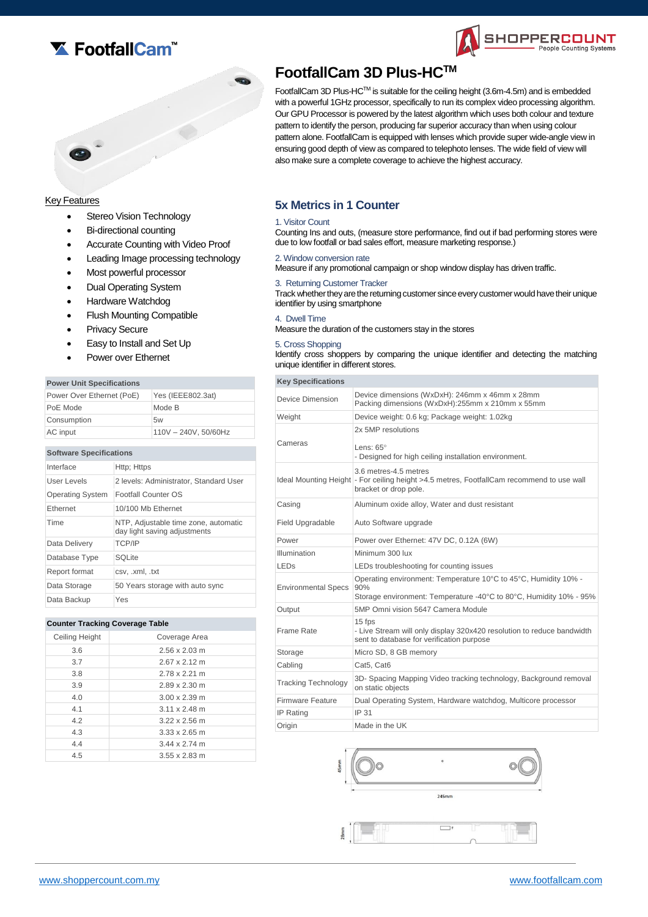



## Key Features

- Stereo Vision Technology
- Bi-directional counting
- Accurate Counting with Video Proof
- Leading Image processing technology
- Most powerful processor
- Dual Operating System
- Hardware Watchdog
- Flush Mounting Compatible
- Privacy Secure
- Easy to Install and Set Up
- Power over Ethernet

### **Power Unit Specifications**

| Power Over Ethernet (PoE) | Yes (IEEE802.3at)    |
|---------------------------|----------------------|
| PoE Mode                  | Mode B               |
| Consumption               | 5w                   |
| AC input                  | 110V - 240V, 50/60Hz |

#### **Software Specifications**

| Interface               | Http; Https                                                          |
|-------------------------|----------------------------------------------------------------------|
| User Levels             | 2 levels: Administrator, Standard User                               |
| <b>Operating System</b> | Footfall Counter OS                                                  |
| <b>Fthernet</b>         | 10/100 Mb Ethernet                                                   |
| Time                    | NTP, Adjustable time zone, automatic<br>day light saving adjustments |
| Data Delivery           | <b>TCP/IP</b>                                                        |
| Database Type           | SOLite                                                               |
| Report format           | csv. .xml, .txt                                                      |
| Data Storage            | 50 Years storage with auto sync                                      |
| Data Backup             | Yes                                                                  |

#### **Counter Tracking Coverage Table**

| Ceiling Height | Coverage Area                |
|----------------|------------------------------|
| 3.6            | $2.56 \times 2.03 \text{ m}$ |
| 3.7            | $2.67 \times 2.12 \text{ m}$ |
| 3.8            | 2.78 x 2.21 m                |
| 3.9            | $2.89 \times 2.30 \text{ m}$ |
| 4.0            | $3.00 \times 2.39$ m         |
| 4.1            | $3.11 \times 2.48$ m         |
| 42             | $3.22 \times 2.56$ m         |
| 4.3            | $3.33 \times 2.65$ m         |
| 4.4            | 344 x 274 m                  |
| 4.5            | $3.55 \times 2.83$ m         |
|                |                              |

# **FootfallCam 3D Plus-HCTM**

FootfallCam 3D Plus-HCTM is suitable for the ceiling height (3.6m-4.5m) and is embedded with a powerful 1GHz processor, specifically to run its complex video processing algorithm. Our GPU Processor is powered by the latest algorithm which uses both colour and texture pattern to identify the person, producing far superior accuracy than when using colour pattern alone. FootfallCam is equipped with lenses which provide super wide-angle view in ensuring good depth of view as compared to telephoto lenses. The wide field of view will also make sure a complete coverage to achieve the highest accuracy.

SHOPPERCOUNT

Counting Systems

# **5x Metrics in 1 Counter**

## 1. Visitor Count

Counting Ins and outs, (measure store performance, find out if bad performing stores were due to low footfall or bad sales effort, measure marketing response.)

#### 2. Window conversion rate

Measure if any promotional campaign or shop window display has driven traffic.

3. Returning Customer Tracker

Track whether they are the returning customer since every customer would have their unique identifier by using smartphone

#### 4. Dwell Time

Measure the duration of the customers stay in the stores

#### 5. Cross Shopping

Identify cross shoppers by comparing the unique identifier and detecting the matching unique identifier in different stores.

| <b>Key Specifications</b>  |                                                                                                                                              |
|----------------------------|----------------------------------------------------------------------------------------------------------------------------------------------|
| Device Dimension           | Device dimensions (WxDxH): 246mm x 46mm x 28mm<br>Packing dimensions (WxDxH):255mm x 210mm x 55mm                                            |
| Weight                     | Device weight: 0.6 kg; Package weight: 1.02kg                                                                                                |
| Cameras                    | 2x 5MP resolutions<br>Lens: $65^\circ$<br>- Designed for high ceiling installation environment.                                              |
|                            | 3.6 metres-4.5 metres<br>Ideal Mounting Height - For ceiling height >4.5 metres, FootfallCam recommend to use wall<br>bracket or drop pole.  |
| Casing                     | Aluminum oxide alloy, Water and dust resistant                                                                                               |
| Field Upgradable           | Auto Software upgrade                                                                                                                        |
| Power                      | Power over Ethernet: 47V DC, 0.12A (6W)                                                                                                      |
| Illumination               | Minimum 300 lux                                                                                                                              |
| <b>LED<sub>S</sub></b>     | LEDs troubleshooting for counting issues                                                                                                     |
| <b>Environmental Specs</b> | Operating environment: Temperature 10°C to 45°C, Humidity 10% -<br>90%<br>Storage environment: Temperature -40°C to 80°C, Humidity 10% - 95% |
| Output                     | 5MP Omni vision 5647 Camera Module                                                                                                           |
| Frame Rate                 | 15 fps<br>- Live Stream will only display 320x420 resolution to reduce bandwidth<br>sent to database for verification purpose                |
| Storage                    | Micro SD, 8 GB memory                                                                                                                        |
| Cabling                    | Cat5, Cat6                                                                                                                                   |
| <b>Tracking Technology</b> | 3D- Spacing Mapping Video tracking technology, Background removal<br>on static objects                                                       |
| <b>Firmware Feature</b>    | Dual Operating System, Hardware watchdog, Multicore processor                                                                                |
| <b>IP Rating</b>           | IP 31                                                                                                                                        |
| Origin                     | Made in the UK                                                                                                                               |